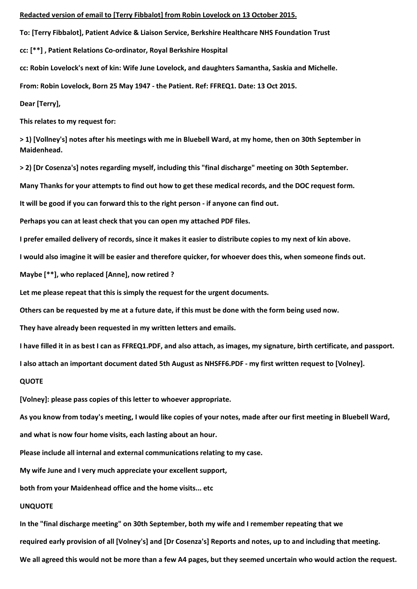## **Redacted version of email to [Terry Fibbalot] from Robin Lovelock on 13 October 2015.**

**To: [Terry Fibbalot], Patient Advice & Liaison Service, Berkshire Healthcare NHS Foundation Trust**

**cc: [\*\*] , Patient Relations Co-ordinator, Royal Berkshire Hospital**

**cc: Robin Lovelock's next of kin: Wife June Lovelock, and daughters Samantha, Saskia and Michelle.**

**From: Robin Lovelock, Born 25 May 1947 - the Patient. Ref: FFREQ1. Date: 13 Oct 2015.**

**Dear [Terry],**

**This relates to my request for:**

**> 1) [Vollney's] notes after his meetings with me in Bluebell Ward, at my home, then on 30th September in Maidenhead.**

**> 2) [Dr Cosenza's] notes regarding myself, including this "final discharge" meeting on 30th September.**

**Many Thanks for your attempts to find out how to get these medical records, and the DOC request form.**

**It will be good if you can forward this to the right person - if anyone can find out.**

**Perhaps you can at least check that you can open my attached PDF files.**

**I prefer emailed delivery of records, since it makes it easier to distribute copies to my next of kin above.**

**I would also imagine it will be easier and therefore quicker, for whoever does this, when someone finds out.**

**Maybe [\*\*], who replaced [Anne], now retired ?**

**Let me please repeat that this is simply the request for the urgent documents.**

**Others can be requested by me at a future date, if this must be done with the form being used now.**

**They have already been requested in my written letters and emails.**

**I have filled it in as best I can as FFREQ1.PDF, and also attach, as images, my signature, birth certificate, and passport.**

**I also attach an important document dated 5th August as NHSFF6.PDF - my first written request to [Volney].**

## **QUOTE**

**[Volney]: please pass copies of this letter to whoever appropriate.**

**As you know from today's meeting, I would like copies of your notes, made after our first meeting in Bluebell Ward,**

**and what is now four home visits, each lasting about an hour.**

**Please include all internal and external communications relating to my case.**

**My wife June and I very much appreciate your excellent support,**

**both from your Maidenhead office and the home visits... etc**

## **UNQUOTE**

**In the "final discharge meeting" on 30th September, both my wife and I remember repeating that we**

**required early provision of all [Volney's] and [Dr Cosenza's] Reports and notes, up to and including that meeting.**

**We all agreed this would not be more than a few A4 pages, but they seemed uncertain who would action the request.**